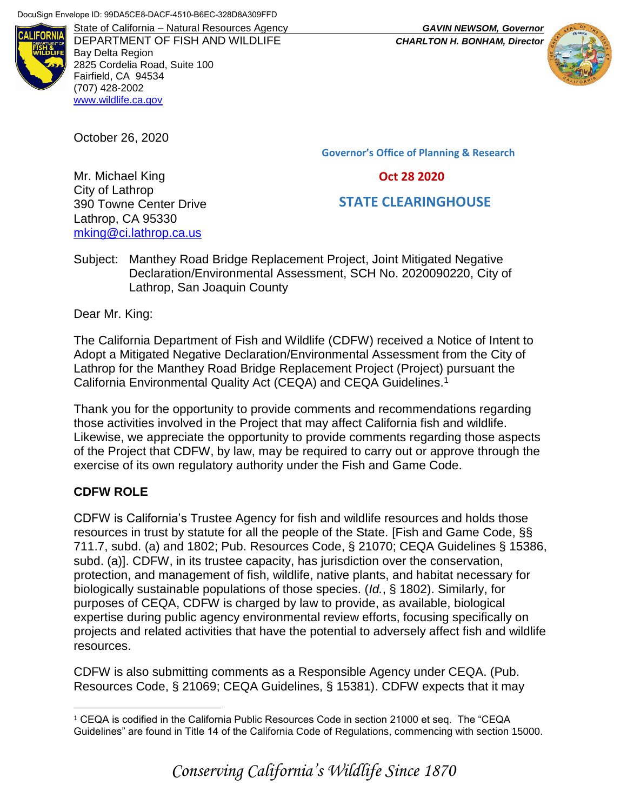

DEPARTMENT OF FISH AND WILDLIFE *CHARLTON H. BONHAM, Director* Bay Delta Region 2825 Cordelia Road, Suite 100 Fairfield, CA 94534 (707) 428-2002 [www.wildlife.ca.gov](http://www.wildlife.ca.gov/)

October 26, 2020

**Governor's Office of Planning & Research**

 **Oct 28 2020**

# **STATE CLEARINGHOUSE**

Mr. Michael King City of Lathrop 390 Towne Center Drive Lathrop, CA 95330 [mking@ci.lathrop.ca.us](mailto:mking@ci.lathrop.ca.us)

Subject: Manthey Road Bridge Replacement Project, Joint Mitigated Negative Declaration/Environmental Assessment, SCH No. 2020090220, City of Lathrop, San Joaquin County

Dear Mr. King:

The California Department of Fish and Wildlife (CDFW) received a Notice of Intent to Adopt a Mitigated Negative Declaration/Environmental Assessment from the City of Lathrop for the Manthey Road Bridge Replacement Project (Project) pursuant the California Environmental Quality Act (CEQA) and CEQA Guidelines.<sup>1</sup>

Thank you for the opportunity to provide comments and recommendations regarding those activities involved in the Project that may affect California fish and wildlife. Likewise, we appreciate the opportunity to provide comments regarding those aspects of the Project that CDFW, by law, may be required to carry out or approve through the exercise of its own regulatory authority under the Fish and Game Code.

## **CDFW ROLE**

 $\overline{a}$ 

CDFW is California's Trustee Agency for fish and wildlife resources and holds those resources in trust by statute for all the people of the State. [Fish and Game Code, §§ 711.7, subd. (a) and 1802; Pub. Resources Code, § 21070; CEQA Guidelines § 15386, subd. (a)]. CDFW, in its trustee capacity, has jurisdiction over the conservation, protection, and management of fish, wildlife, native plants, and habitat necessary for biologically sustainable populations of those species. (*Id.*, § 1802). Similarly, for purposes of CEQA, CDFW is charged by law to provide, as available, biological expertise during public agency environmental review efforts, focusing specifically on projects and related activities that have the potential to adversely affect fish and wildlife resources.

CDFW is also submitting comments as a Responsible Agency under CEQA. (Pub. Resources Code, § 21069; CEQA Guidelines, § 15381). CDFW expects that it may

<sup>1</sup> CEQA is codified in the California Public Resources Code in section 21000 et seq. The "CEQA Guidelines" are found in Title 14 of the California Code of Regulations, commencing with section 15000.



State of California – Natural Resources Agency *GAVIN NEWSOM, Governor*

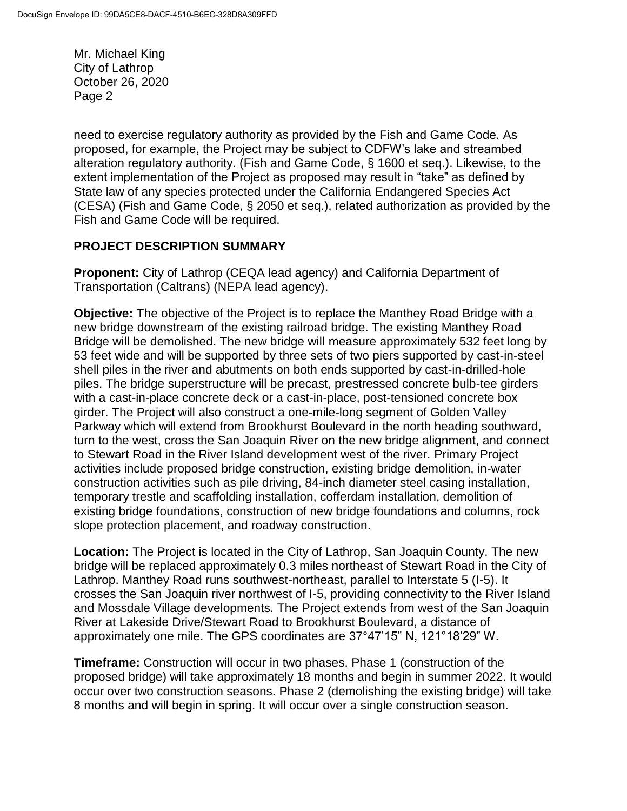need to exercise regulatory authority as provided by the Fish and Game Code. As proposed, for example, the Project may be subject to CDFW's lake and streambed alteration regulatory authority. (Fish and Game Code, § 1600 et seq.). Likewise, to the extent implementation of the Project as proposed may result in "take" as defined by State law of any species protected under the California Endangered Species Act (CESA) (Fish and Game Code, § 2050 et seq.), related authorization as provided by the Fish and Game Code will be required.

#### **PROJECT DESCRIPTION SUMMARY**

**Proponent:** City of Lathrop (CEQA lead agency) and California Department of Transportation (Caltrans) (NEPA lead agency).

**Objective:** The objective of the Project is to replace the Manthey Road Bridge with a new bridge downstream of the existing railroad bridge. The existing Manthey Road Bridge will be demolished. The new bridge will measure approximately 532 feet long by 53 feet wide and will be supported by three sets of two piers supported by cast-in-steel shell piles in the river and abutments on both ends supported by cast-in-drilled-hole piles. The bridge superstructure will be precast, prestressed concrete bulb-tee girders with a cast-in-place concrete deck or a cast-in-place, post-tensioned concrete box girder. The Project will also construct a one-mile-long segment of Golden Valley Parkway which will extend from Brookhurst Boulevard in the north heading southward, turn to the west, cross the San Joaquin River on the new bridge alignment, and connect to Stewart Road in the River Island development west of the river. Primary Project activities include proposed bridge construction, existing bridge demolition, in-water construction activities such as pile driving, 84-inch diameter steel casing installation, temporary trestle and scaffolding installation, cofferdam installation, demolition of existing bridge foundations, construction of new bridge foundations and columns, rock slope protection placement, and roadway construction.

**Location:** The Project is located in the City of Lathrop, San Joaquin County. The new bridge will be replaced approximately 0.3 miles northeast of Stewart Road in the City of Lathrop. Manthey Road runs southwest-northeast, parallel to Interstate 5 (I-5). It crosses the San Joaquin river northwest of I-5, providing connectivity to the River Island and Mossdale Village developments. The Project extends from west of the San Joaquin River at Lakeside Drive/Stewart Road to Brookhurst Boulevard, a distance of approximately one mile. The GPS coordinates are 37°47'15" N, 121°18'29" W.

**Timeframe:** Construction will occur in two phases. Phase 1 (construction of the proposed bridge) will take approximately 18 months and begin in summer 2022. It would occur over two construction seasons. Phase 2 (demolishing the existing bridge) will take 8 months and will begin in spring. It will occur over a single construction season.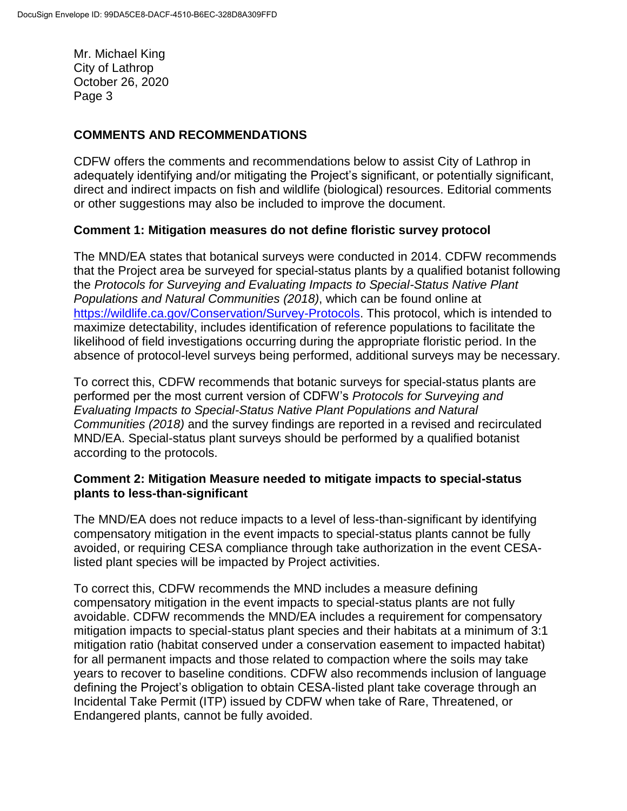## **COMMENTS AND RECOMMENDATIONS**

CDFW offers the comments and recommendations below to assist City of Lathrop in adequately identifying and/or mitigating the Project's significant, or potentially significant, direct and indirect impacts on fish and wildlife (biological) resources. Editorial comments or other suggestions may also be included to improve the document.

### **Comment 1: Mitigation measures do not define floristic survey protocol**

The MND/EA states that botanical surveys were conducted in 2014. CDFW recommends that the Project area be surveyed for special-status plants by a qualified botanist following the *Protocols for Surveying and Evaluating Impacts to Special-Status Native Plant Populations and Natural Communities (2018)*, which can be found online at [https://wildlife.ca.gov/Conservation/Survey-Protocols.](https://wildlife.ca.gov/Conservation/Survey-Protocols) This protocol, which is intended to maximize detectability, includes identification of reference populations to facilitate the likelihood of field investigations occurring during the appropriate floristic period. In the absence of protocol-level surveys being performed, additional surveys may be necessary.

To correct this, CDFW recommends that botanic surveys for special-status plants are performed per the most current version of CDFW's *Protocols for Surveying and Evaluating Impacts to Special-Status Native Plant Populations and Natural Communities (2018)* and the survey findings are reported in a revised and recirculated MND/EA. Special-status plant surveys should be performed by a qualified botanist according to the protocols.

### **Comment 2: Mitigation Measure needed to mitigate impacts to special-status plants to less-than-significant**

The MND/EA does not reduce impacts to a level of less-than-significant by identifying compensatory mitigation in the event impacts to special-status plants cannot be fully avoided, or requiring CESA compliance through take authorization in the event CESAlisted plant species will be impacted by Project activities.

To correct this, CDFW recommends the MND includes a measure defining compensatory mitigation in the event impacts to special-status plants are not fully avoidable. CDFW recommends the MND/EA includes a requirement for compensatory mitigation impacts to special-status plant species and their habitats at a minimum of 3:1 mitigation ratio (habitat conserved under a conservation easement to impacted habitat) for all permanent impacts and those related to compaction where the soils may take years to recover to baseline conditions. CDFW also recommends inclusion of language defining the Project's obligation to obtain CESA-listed plant take coverage through an Incidental Take Permit (ITP) issued by CDFW when take of Rare, Threatened, or Endangered plants, cannot be fully avoided.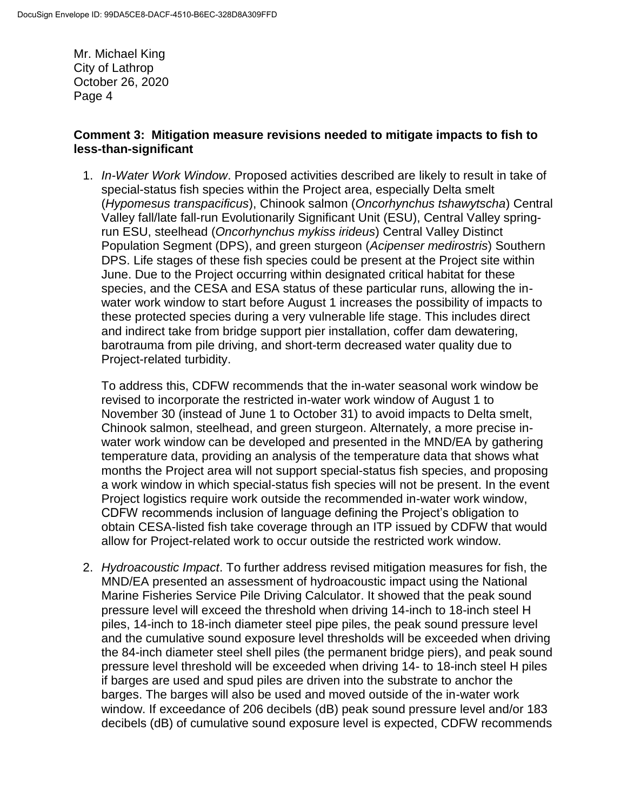#### **Comment 3: Mitigation measure revisions needed to mitigate impacts to fish to less-than-significant**

1. *In-Water Work Window*. Proposed activities described are likely to result in take of special-status fish species within the Project area, especially Delta smelt (*Hypomesus transpacificus*), Chinook salmon (*Oncorhynchus tshawytscha*) Central Valley fall/late fall-run Evolutionarily Significant Unit (ESU), Central Valley springrun ESU, steelhead (*Oncorhynchus mykiss irideus*) Central Valley Distinct Population Segment (DPS), and green sturgeon (*Acipenser medirostris*) Southern DPS. Life stages of these fish species could be present at the Project site within June. Due to the Project occurring within designated critical habitat for these species, and the CESA and ESA status of these particular runs, allowing the inwater work window to start before August 1 increases the possibility of impacts to these protected species during a very vulnerable life stage. This includes direct and indirect take from bridge support pier installation, coffer dam dewatering, barotrauma from pile driving, and short-term decreased water quality due to Project-related turbidity.

To address this, CDFW recommends that the in-water seasonal work window be revised to incorporate the restricted in-water work window of August 1 to November 30 (instead of June 1 to October 31) to avoid impacts to Delta smelt, Chinook salmon, steelhead, and green sturgeon. Alternately, a more precise inwater work window can be developed and presented in the MND/EA by gathering temperature data, providing an analysis of the temperature data that shows what months the Project area will not support special-status fish species, and proposing a work window in which special-status fish species will not be present. In the event Project logistics require work outside the recommended in-water work window, CDFW recommends inclusion of language defining the Project's obligation to obtain CESA-listed fish take coverage through an ITP issued by CDFW that would allow for Project-related work to occur outside the restricted work window.

2. *Hydroacoustic Impact*. To further address revised mitigation measures for fish, the MND/EA presented an assessment of hydroacoustic impact using the National Marine Fisheries Service Pile Driving Calculator. It showed that the peak sound pressure level will exceed the threshold when driving 14-inch to 18-inch steel H piles, 14-inch to 18-inch diameter steel pipe piles, the peak sound pressure level and the cumulative sound exposure level thresholds will be exceeded when driving the 84-inch diameter steel shell piles (the permanent bridge piers), and peak sound pressure level threshold will be exceeded when driving 14- to 18-inch steel H piles if barges are used and spud piles are driven into the substrate to anchor the barges. The barges will also be used and moved outside of the in-water work window. If exceedance of 206 decibels (dB) peak sound pressure level and/or 183 decibels (dB) of cumulative sound exposure level is expected, CDFW recommends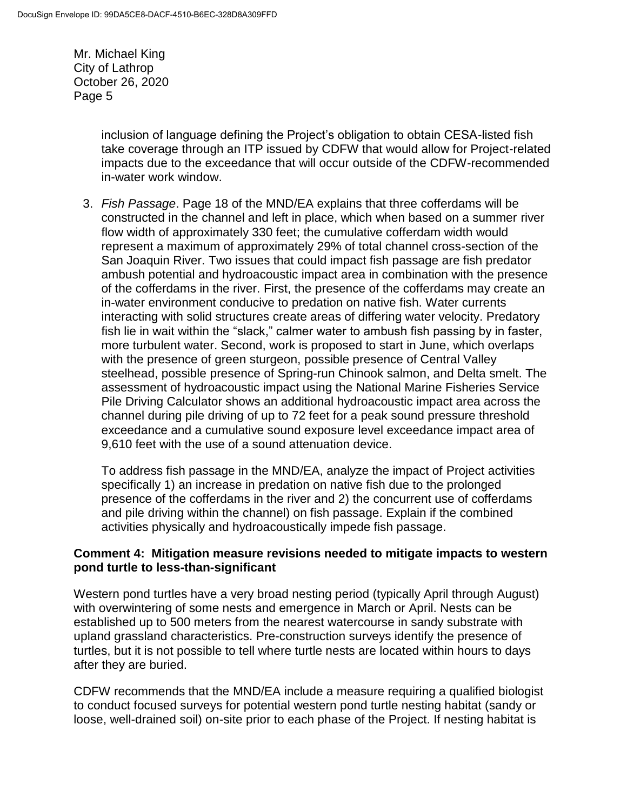> inclusion of language defining the Project's obligation to obtain CESA-listed fish take coverage through an ITP issued by CDFW that would allow for Project-related impacts due to the exceedance that will occur outside of the CDFW-recommended in-water work window.

3. *Fish Passage*. Page 18 of the MND/EA explains that three cofferdams will be constructed in the channel and left in place, which when based on a summer river flow width of approximately 330 feet; the cumulative cofferdam width would represent a maximum of approximately 29% of total channel cross-section of the San Joaquin River. Two issues that could impact fish passage are fish predator ambush potential and hydroacoustic impact area in combination with the presence of the cofferdams in the river. First, the presence of the cofferdams may create an in-water environment conducive to predation on native fish. Water currents interacting with solid structures create areas of differing water velocity. Predatory fish lie in wait within the "slack," calmer water to ambush fish passing by in faster, more turbulent water. Second, work is proposed to start in June, which overlaps with the presence of green sturgeon, possible presence of Central Valley steelhead, possible presence of Spring-run Chinook salmon, and Delta smelt. The assessment of hydroacoustic impact using the National Marine Fisheries Service Pile Driving Calculator shows an additional hydroacoustic impact area across the channel during pile driving of up to 72 feet for a peak sound pressure threshold exceedance and a cumulative sound exposure level exceedance impact area of 9,610 feet with the use of a sound attenuation device.

To address fish passage in the MND/EA, analyze the impact of Project activities specifically 1) an increase in predation on native fish due to the prolonged presence of the cofferdams in the river and 2) the concurrent use of cofferdams and pile driving within the channel) on fish passage. Explain if the combined activities physically and hydroacoustically impede fish passage.

### **Comment 4: Mitigation measure revisions needed to mitigate impacts to western pond turtle to less-than-significant**

Western pond turtles have a very broad nesting period (typically April through August) with overwintering of some nests and emergence in March or April. Nests can be established up to 500 meters from the nearest watercourse in sandy substrate with upland grassland characteristics. Pre-construction surveys identify the presence of turtles, but it is not possible to tell where turtle nests are located within hours to days after they are buried.

CDFW recommends that the MND/EA include a measure requiring a qualified biologist to conduct focused surveys for potential western pond turtle nesting habitat (sandy or loose, well-drained soil) on-site prior to each phase of the Project. If nesting habitat is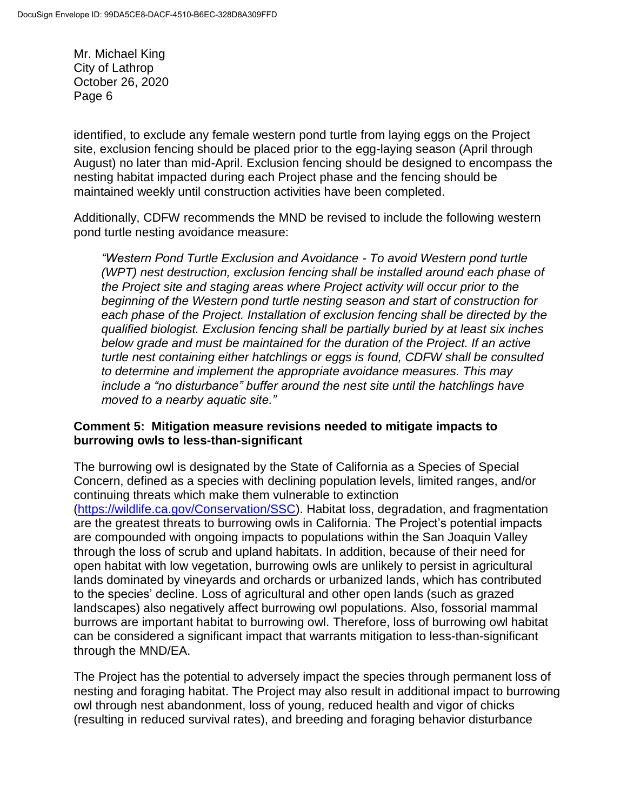identified, to exclude any female western pond turtle from laying eggs on the Project site, exclusion fencing should be placed prior to the egg-laying season (April through August) no later than mid-April. Exclusion fencing should be designed to encompass the nesting habitat impacted during each Project phase and the fencing should be maintained weekly until construction activities have been completed.

Additionally, CDFW recommends the MND be revised to include the following western pond turtle nesting avoidance measure:

*"Western Pond Turtle Exclusion and Avoidance - To avoid Western pond turtle (WPT) nest destruction, exclusion fencing shall be installed around each phase of the Project site and staging areas where Project activity will occur prior to the beginning of the Western pond turtle nesting season and start of construction for each phase of the Project. Installation of exclusion fencing shall be directed by the qualified biologist. Exclusion fencing shall be partially buried by at least six inches below grade and must be maintained for the duration of the Project. If an active turtle nest containing either hatchlings or eggs is found, CDFW shall be consulted to determine and implement the appropriate avoidance measures. This may include a "no disturbance" buffer around the nest site until the hatchlings have moved to a nearby aquatic site."*

#### **Comment 5: Mitigation measure revisions needed to mitigate impacts to burrowing owls to less-than-significant**

The burrowing owl is designated by the State of California as a Species of Special Concern, defined as a species with declining population levels, limited ranges, and/or continuing threats which make them vulnerable to extinction [\(https://wildlife.ca.gov/Conservation/SSC\)](https://wildlife.ca.gov/Conservation/SSC). Habitat loss, degradation, and fragmentation are the greatest threats to burrowing owls in California. The Project's potential impacts are compounded with ongoing impacts to populations within the San Joaquin Valley through the loss of scrub and upland habitats. In addition, because of their need for open habitat with low vegetation, burrowing owls are unlikely to persist in agricultural lands dominated by vineyards and orchards or urbanized lands, which has contributed to the species' decline. Loss of agricultural and other open lands (such as grazed landscapes) also negatively affect burrowing owl populations. Also, fossorial mammal burrows are important habitat to burrowing owl. Therefore, loss of burrowing owl habitat can be considered a significant impact that warrants mitigation to less-than-significant through the MND/EA.

The Project has the potential to adversely impact the species through permanent loss of nesting and foraging habitat. The Project may also result in additional impact to burrowing owl through nest abandonment, loss of young, reduced health and vigor of chicks (resulting in reduced survival rates), and breeding and foraging behavior disturbance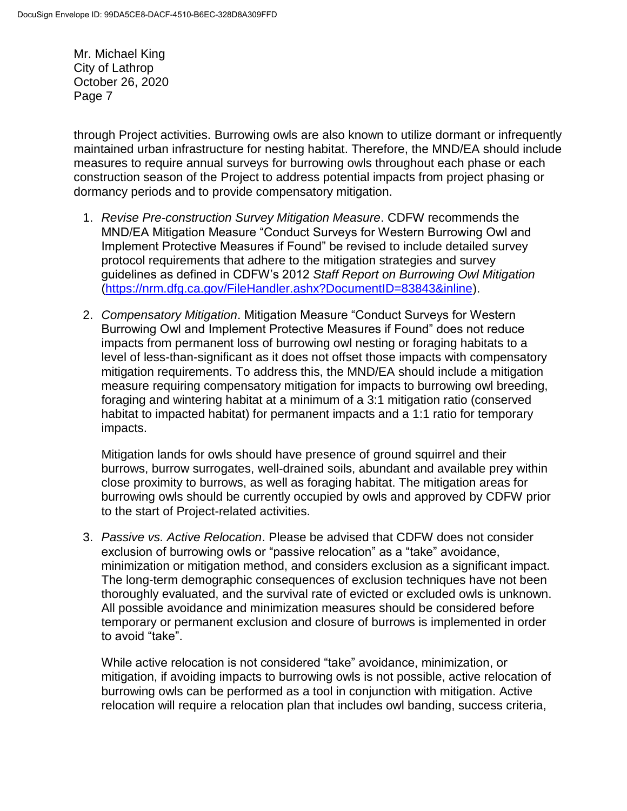through Project activities. Burrowing owls are also known to utilize dormant or infrequently maintained urban infrastructure for nesting habitat. Therefore, the MND/EA should include measures to require annual surveys for burrowing owls throughout each phase or each construction season of the Project to address potential impacts from project phasing or dormancy periods and to provide compensatory mitigation.

- 1. *Revise Pre-construction Survey Mitigation Measure*. CDFW recommends the MND/EA Mitigation Measure "Conduct Surveys for Western Burrowing Owl and Implement Protective Measures if Found" be revised to include detailed survey protocol requirements that adhere to the mitigation strategies and survey guidelines as defined in CDFW's 2012 *Staff Report on Burrowing Owl Mitigation* [\(https://nrm.dfg.ca.gov/FileHandler.ashx?DocumentID=83843&inline\)](https://nrm.dfg.ca.gov/FileHandler.ashx?DocumentID=83843&inline).
- 2. *Compensatory Mitigation*. Mitigation Measure "Conduct Surveys for Western Burrowing Owl and Implement Protective Measures if Found" does not reduce impacts from permanent loss of burrowing owl nesting or foraging habitats to a level of less-than-significant as it does not offset those impacts with compensatory mitigation requirements. To address this, the MND/EA should include a mitigation measure requiring compensatory mitigation for impacts to burrowing owl breeding, foraging and wintering habitat at a minimum of a 3:1 mitigation ratio (conserved habitat to impacted habitat) for permanent impacts and a 1:1 ratio for temporary impacts.

Mitigation lands for owls should have presence of ground squirrel and their burrows, burrow surrogates, well-drained soils, abundant and available prey within close proximity to burrows, as well as foraging habitat. The mitigation areas for burrowing owls should be currently occupied by owls and approved by CDFW prior to the start of Project-related activities.

3. *Passive vs. Active Relocation*. Please be advised that CDFW does not consider exclusion of burrowing owls or "passive relocation" as a "take" avoidance, minimization or mitigation method, and considers exclusion as a significant impact. The long-term demographic consequences of exclusion techniques have not been thoroughly evaluated, and the survival rate of evicted or excluded owls is unknown. All possible avoidance and minimization measures should be considered before temporary or permanent exclusion and closure of burrows is implemented in order to avoid "take".

While active relocation is not considered "take" avoidance, minimization, or mitigation, if avoiding impacts to burrowing owls is not possible, active relocation of burrowing owls can be performed as a tool in conjunction with mitigation. Active relocation will require a relocation plan that includes owl banding, success criteria,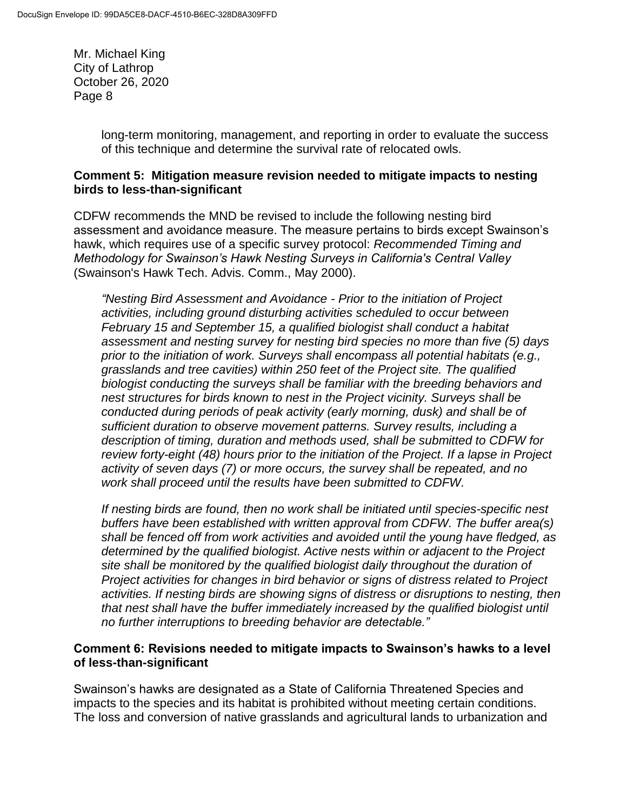> long-term monitoring, management, and reporting in order to evaluate the success of this technique and determine the survival rate of relocated owls.

### **Comment 5: Mitigation measure revision needed to mitigate impacts to nesting birds to less-than-significant**

CDFW recommends the MND be revised to include the following nesting bird assessment and avoidance measure. The measure pertains to birds except Swainson's hawk, which requires use of a specific survey protocol: *Recommended Timing and Methodology for Swainson's Hawk Nesting Surveys in California's Central Valley* (Swainson's Hawk Tech. Advis. Comm., May 2000).

*"Nesting Bird Assessment and Avoidance - Prior to the initiation of Project activities, including ground disturbing activities scheduled to occur between February 15 and September 15, a qualified biologist shall conduct a habitat assessment and nesting survey for nesting bird species no more than five (5) days prior to the initiation of work. Surveys shall encompass all potential habitats (e.g., grasslands and tree cavities) within 250 feet of the Project site. The qualified biologist conducting the surveys shall be familiar with the breeding behaviors and nest structures for birds known to nest in the Project vicinity. Surveys shall be conducted during periods of peak activity (early morning, dusk) and shall be of sufficient duration to observe movement patterns. Survey results, including a description of timing, duration and methods used, shall be submitted to CDFW for review forty-eight (48) hours prior to the initiation of the Project. If a lapse in Project activity of seven days (7) or more occurs, the survey shall be repeated, and no work shall proceed until the results have been submitted to CDFW.*

*If nesting birds are found, then no work shall be initiated until species-specific nest buffers have been established with written approval from CDFW. The buffer area(s) shall be fenced off from work activities and avoided until the young have fledged, as determined by the qualified biologist. Active nests within or adjacent to the Project site shall be monitored by the qualified biologist daily throughout the duration of Project activities for changes in bird behavior or signs of distress related to Project activities. If nesting birds are showing signs of distress or disruptions to nesting, then that nest shall have the buffer immediately increased by the qualified biologist until no further interruptions to breeding behavior are detectable."*

### **Comment 6: Revisions needed to mitigate impacts to Swainson's hawks to a level of less-than-significant**

Swainson's hawks are designated as a State of California Threatened Species and impacts to the species and its habitat is prohibited without meeting certain conditions. The loss and conversion of native grasslands and agricultural lands to urbanization and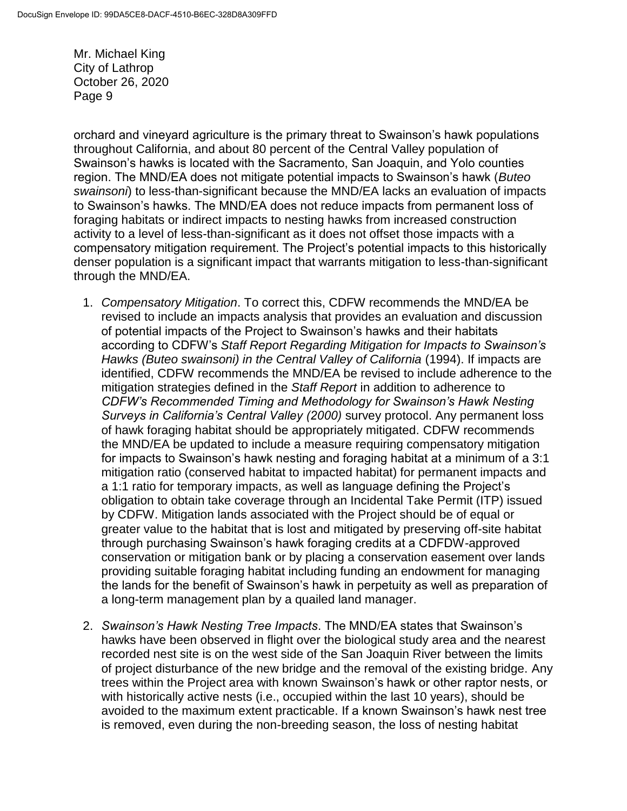orchard and vineyard agriculture is the primary threat to Swainson's hawk populations throughout California, and about 80 percent of the Central Valley population of Swainson's hawks is located with the Sacramento, San Joaquin, and Yolo counties region. The MND/EA does not mitigate potential impacts to Swainson's hawk (*Buteo swainsoni*) to less-than-significant because the MND/EA lacks an evaluation of impacts to Swainson's hawks. The MND/EA does not reduce impacts from permanent loss of foraging habitats or indirect impacts to nesting hawks from increased construction activity to a level of less-than-significant as it does not offset those impacts with a compensatory mitigation requirement. The Project's potential impacts to this historically denser population is a significant impact that warrants mitigation to less-than-significant through the MND/EA.

- 1. *Compensatory Mitigation*. To correct this, CDFW recommends the MND/EA be revised to include an impacts analysis that provides an evaluation and discussion of potential impacts of the Project to Swainson's hawks and their habitats according to CDFW's *Staff Report Regarding Mitigation for Impacts to Swainson's Hawks (Buteo swainsoni) in the Central Valley of California* (1994). If impacts are identified, CDFW recommends the MND/EA be revised to include adherence to the mitigation strategies defined in the *Staff Report* in addition to adherence to *CDFW's Recommended Timing and Methodology for Swainson's Hawk Nesting Surveys in California's Central Valley (2000)* survey protocol. Any permanent loss of hawk foraging habitat should be appropriately mitigated. CDFW recommends the MND/EA be updated to include a measure requiring compensatory mitigation for impacts to Swainson's hawk nesting and foraging habitat at a minimum of a 3:1 mitigation ratio (conserved habitat to impacted habitat) for permanent impacts and a 1:1 ratio for temporary impacts, as well as language defining the Project's obligation to obtain take coverage through an Incidental Take Permit (ITP) issued by CDFW. Mitigation lands associated with the Project should be of equal or greater value to the habitat that is lost and mitigated by preserving off-site habitat through purchasing Swainson's hawk foraging credits at a CDFDW-approved conservation or mitigation bank or by placing a conservation easement over lands providing suitable foraging habitat including funding an endowment for managing the lands for the benefit of Swainson's hawk in perpetuity as well as preparation of a long-term management plan by a quailed land manager.
- 2. *Swainson's Hawk Nesting Tree Impacts*. The MND/EA states that Swainson's hawks have been observed in flight over the biological study area and the nearest recorded nest site is on the west side of the San Joaquin River between the limits of project disturbance of the new bridge and the removal of the existing bridge. Any trees within the Project area with known Swainson's hawk or other raptor nests, or with historically active nests (i.e., occupied within the last 10 years), should be avoided to the maximum extent practicable. If a known Swainson's hawk nest tree is removed, even during the non-breeding season, the loss of nesting habitat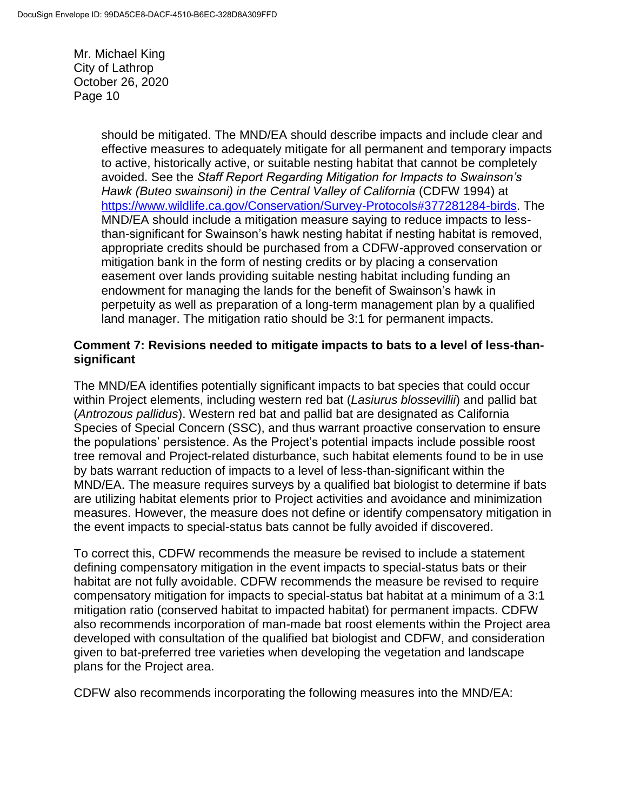> should be mitigated. The MND/EA should describe impacts and include clear and effective measures to adequately mitigate for all permanent and temporary impacts to active, historically active, or suitable nesting habitat that cannot be completely avoided. See the *Staff Report Regarding Mitigation for Impacts to Swainson's Hawk (Buteo swainsoni) in the Central Valley of California* (CDFW 1994) at [https://www.wildlife.ca.gov/Conservation/Survey-Protocols#377281284-birds.](https://www.wildlife.ca.gov/Conservation/Survey-Protocols#377281284-birds) The MND/EA should include a mitigation measure saying to reduce impacts to lessthan-significant for Swainson's hawk nesting habitat if nesting habitat is removed, appropriate credits should be purchased from a CDFW-approved conservation or mitigation bank in the form of nesting credits or by placing a conservation easement over lands providing suitable nesting habitat including funding an endowment for managing the lands for the benefit of Swainson's hawk in perpetuity as well as preparation of a long-term management plan by a qualified land manager. The mitigation ratio should be 3:1 for permanent impacts.

#### **Comment 7: Revisions needed to mitigate impacts to bats to a level of less-thansignificant**

The MND/EA identifies potentially significant impacts to bat species that could occur within Project elements, including western red bat (*Lasiurus blossevillii*) and pallid bat (*Antrozous pallidus*). Western red bat and pallid bat are designated as California Species of Special Concern (SSC), and thus warrant proactive conservation to ensure the populations' persistence. As the Project's potential impacts include possible roost tree removal and Project-related disturbance, such habitat elements found to be in use by bats warrant reduction of impacts to a level of less-than-significant within the MND/EA. The measure requires surveys by a qualified bat biologist to determine if bats are utilizing habitat elements prior to Project activities and avoidance and minimization measures. However, the measure does not define or identify compensatory mitigation in the event impacts to special-status bats cannot be fully avoided if discovered.

To correct this, CDFW recommends the measure be revised to include a statement defining compensatory mitigation in the event impacts to special-status bats or their habitat are not fully avoidable. CDFW recommends the measure be revised to require compensatory mitigation for impacts to special-status bat habitat at a minimum of a 3:1 mitigation ratio (conserved habitat to impacted habitat) for permanent impacts. CDFW also recommends incorporation of man-made bat roost elements within the Project area developed with consultation of the qualified bat biologist and CDFW, and consideration given to bat-preferred tree varieties when developing the vegetation and landscape plans for the Project area.

CDFW also recommends incorporating the following measures into the MND/EA: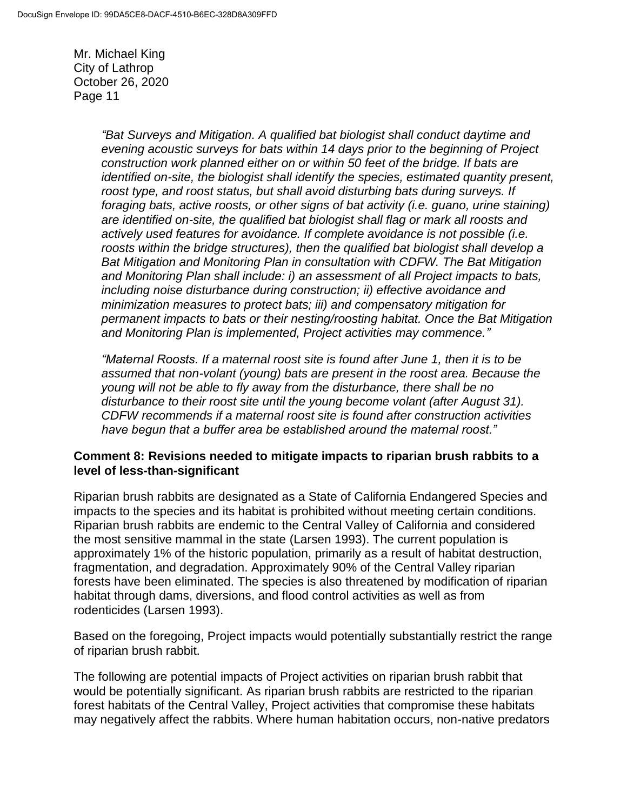> *"Bat Surveys and Mitigation. A qualified bat biologist shall conduct daytime and evening acoustic surveys for bats within 14 days prior to the beginning of Project construction work planned either on or within 50 feet of the bridge. If bats are identified on-site, the biologist shall identify the species, estimated quantity present, roost type, and roost status, but shall avoid disturbing bats during surveys. If foraging bats, active roosts, or other signs of bat activity (i.e. guano, urine staining) are identified on-site, the qualified bat biologist shall flag or mark all roosts and actively used features for avoidance. If complete avoidance is not possible (i.e. roosts within the bridge structures), then the qualified bat biologist shall develop a Bat Mitigation and Monitoring Plan in consultation with CDFW. The Bat Mitigation and Monitoring Plan shall include: i) an assessment of all Project impacts to bats, including noise disturbance during construction; ii) effective avoidance and minimization measures to protect bats; iii) and compensatory mitigation for permanent impacts to bats or their nesting/roosting habitat. Once the Bat Mitigation and Monitoring Plan is implemented, Project activities may commence."*

*"Maternal Roosts. If a maternal roost site is found after June 1, then it is to be assumed that non-volant (young) bats are present in the roost area. Because the young will not be able to fly away from the disturbance, there shall be no disturbance to their roost site until the young become volant (after August 31). CDFW recommends if a maternal roost site is found after construction activities have begun that a buffer area be established around the maternal roost."*

#### **Comment 8: Revisions needed to mitigate impacts to riparian brush rabbits to a level of less-than-significant**

Riparian brush rabbits are designated as a State of California Endangered Species and impacts to the species and its habitat is prohibited without meeting certain conditions. Riparian brush rabbits are endemic to the Central Valley of California and considered the most sensitive mammal in the state (Larsen 1993). The current population is approximately 1% of the historic population, primarily as a result of habitat destruction, fragmentation, and degradation. Approximately 90% of the Central Valley riparian forests have been eliminated. The species is also threatened by modification of riparian habitat through dams, diversions, and flood control activities as well as from rodenticides (Larsen 1993).

Based on the foregoing, Project impacts would potentially substantially restrict the range of riparian brush rabbit.

The following are potential impacts of Project activities on riparian brush rabbit that would be potentially significant. As riparian brush rabbits are restricted to the riparian forest habitats of the Central Valley, Project activities that compromise these habitats may negatively affect the rabbits. Where human habitation occurs, non-native predators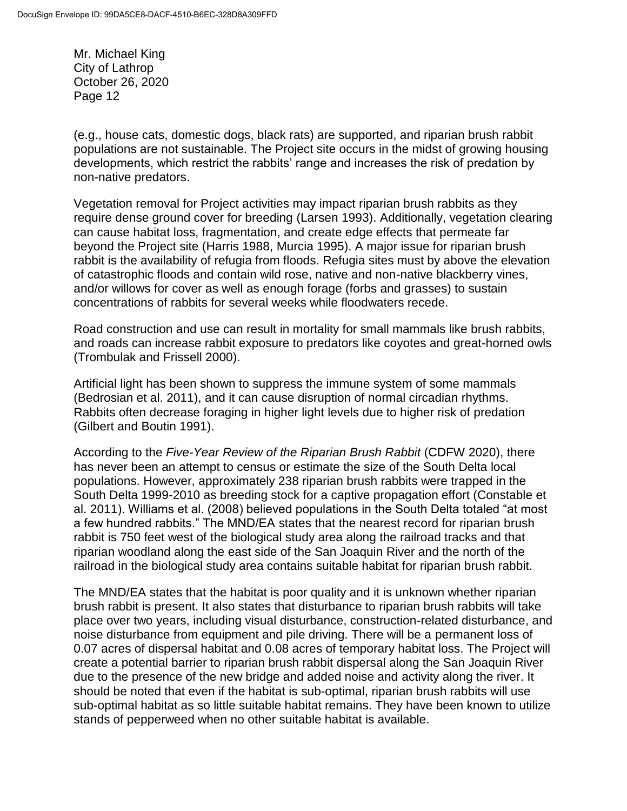(e.g., house cats, domestic dogs, black rats) are supported, and riparian brush rabbit populations are not sustainable. The Project site occurs in the midst of growing housing developments, which restrict the rabbits' range and increases the risk of predation by non-native predators.

Vegetation removal for Project activities may impact riparian brush rabbits as they require dense ground cover for breeding (Larsen 1993). Additionally, vegetation clearing can cause habitat loss, fragmentation, and create edge effects that permeate far beyond the Project site (Harris 1988, Murcia 1995). A major issue for riparian brush rabbit is the availability of refugia from floods. Refugia sites must by above the elevation of catastrophic floods and contain wild rose, native and non-native blackberry vines, and/or willows for cover as well as enough forage (forbs and grasses) to sustain concentrations of rabbits for several weeks while floodwaters recede.

Road construction and use can result in mortality for small mammals like brush rabbits, and roads can increase rabbit exposure to predators like coyotes and great-horned owls (Trombulak and Frissell 2000).

Artificial light has been shown to suppress the immune system of some mammals (Bedrosian et al. 2011), and it can cause disruption of normal circadian rhythms. Rabbits often decrease foraging in higher light levels due to higher risk of predation (Gilbert and Boutin 1991).

According to the *Five-Year Review of the Riparian Brush Rabbit* (CDFW 2020), there has never been an attempt to census or estimate the size of the South Delta local populations. However, approximately 238 riparian brush rabbits were trapped in the South Delta 1999-2010 as breeding stock for a captive propagation effort (Constable et al. 2011). Williams et al. (2008) believed populations in the South Delta totaled "at most a few hundred rabbits." The MND/EA states that the nearest record for riparian brush rabbit is 750 feet west of the biological study area along the railroad tracks and that riparian woodland along the east side of the San Joaquin River and the north of the railroad in the biological study area contains suitable habitat for riparian brush rabbit.

The MND/EA states that the habitat is poor quality and it is unknown whether riparian brush rabbit is present. It also states that disturbance to riparian brush rabbits will take place over two years, including visual disturbance, construction-related disturbance, and noise disturbance from equipment and pile driving. There will be a permanent loss of 0.07 acres of dispersal habitat and 0.08 acres of temporary habitat loss. The Project will create a potential barrier to riparian brush rabbit dispersal along the San Joaquin River due to the presence of the new bridge and added noise and activity along the river. It should be noted that even if the habitat is sub-optimal, riparian brush rabbits will use sub-optimal habitat as so little suitable habitat remains. They have been known to utilize stands of pepperweed when no other suitable habitat is available.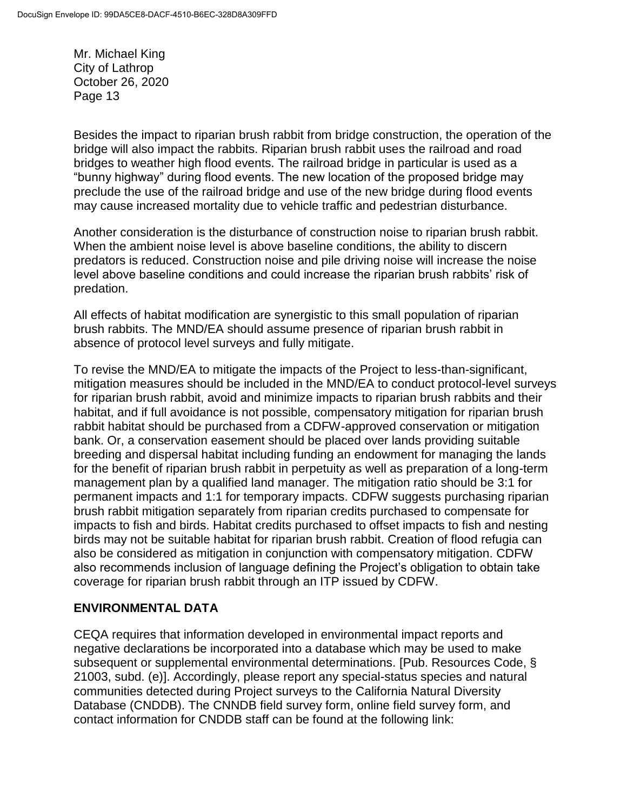Besides the impact to riparian brush rabbit from bridge construction, the operation of the bridge will also impact the rabbits. Riparian brush rabbit uses the railroad and road bridges to weather high flood events. The railroad bridge in particular is used as a "bunny highway" during flood events. The new location of the proposed bridge may preclude the use of the railroad bridge and use of the new bridge during flood events may cause increased mortality due to vehicle traffic and pedestrian disturbance.

Another consideration is the disturbance of construction noise to riparian brush rabbit. When the ambient noise level is above baseline conditions, the ability to discern predators is reduced. Construction noise and pile driving noise will increase the noise level above baseline conditions and could increase the riparian brush rabbits' risk of predation.

All effects of habitat modification are synergistic to this small population of riparian brush rabbits. The MND/EA should assume presence of riparian brush rabbit in absence of protocol level surveys and fully mitigate.

To revise the MND/EA to mitigate the impacts of the Project to less-than-significant, mitigation measures should be included in the MND/EA to conduct protocol-level surveys for riparian brush rabbit, avoid and minimize impacts to riparian brush rabbits and their habitat, and if full avoidance is not possible, compensatory mitigation for riparian brush rabbit habitat should be purchased from a CDFW-approved conservation or mitigation bank. Or, a conservation easement should be placed over lands providing suitable breeding and dispersal habitat including funding an endowment for managing the lands for the benefit of riparian brush rabbit in perpetuity as well as preparation of a long-term management plan by a qualified land manager. The mitigation ratio should be 3:1 for permanent impacts and 1:1 for temporary impacts. CDFW suggests purchasing riparian brush rabbit mitigation separately from riparian credits purchased to compensate for impacts to fish and birds. Habitat credits purchased to offset impacts to fish and nesting birds may not be suitable habitat for riparian brush rabbit. Creation of flood refugia can also be considered as mitigation in conjunction with compensatory mitigation. CDFW also recommends inclusion of language defining the Project's obligation to obtain take coverage for riparian brush rabbit through an ITP issued by CDFW.

### **ENVIRONMENTAL DATA**

CEQA requires that information developed in environmental impact reports and negative declarations be incorporated into a database which may be used to make subsequent or supplemental environmental determinations. [Pub. Resources Code, § 21003, subd. (e)]. Accordingly, please report any special-status species and natural communities detected during Project surveys to the California Natural Diversity Database (CNDDB). The CNNDB field survey form, online field survey form, and contact information for CNDDB staff can be found at the following link: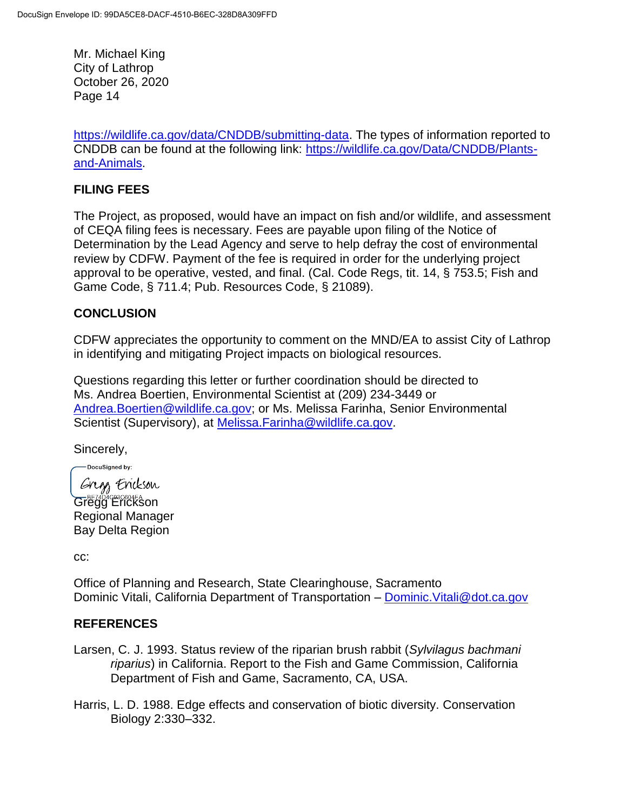[https://wildlife.ca.gov/data/CNDDB/submitting-data.](https://wildlife.ca.gov/data/CNDDB/submitting-data) The types of information reported to CNDDB can be found at the following link: [https://wildlife.ca.gov/Data/CNDDB/Plants](https://wildlife.ca.gov/Data/CNDDB/Plants-and-Animals)[and-Animals.](https://wildlife.ca.gov/Data/CNDDB/Plants-and-Animals)

### **FILING FEES**

The Project, as proposed, would have an impact on fish and/or wildlife, and assessment of CEQA filing fees is necessary. Fees are payable upon filing of the Notice of Determination by the Lead Agency and serve to help defray the cost of environmental review by CDFW. Payment of the fee is required in order for the underlying project approval to be operative, vested, and final. (Cal. Code Regs, tit. 14, § 753.5; Fish and Game Code, § 711.4; Pub. Resources Code, § 21089).

## **CONCLUSION**

CDFW appreciates the opportunity to comment on the MND/EA to assist City of Lathrop in identifying and mitigating Project impacts on biological resources.

Questions regarding this letter or further coordination should be directed to Ms. Andrea Boertien, Environmental Scientist at (209) 234-3449 or [Andrea.Boertien@wildlife.ca.gov;](mailto:Andrea.Boertien@wildlife.ca.gov) or Ms. Melissa Farinha, Senior Environmental Scientist (Supervisory), at [Melissa.Farinha@wildlife.ca.gov.](mailto:Melissa.Farinha@wildlife.ca.gov)

Sincerely,

-DocuSigned by:

Gregs Erickson Gregge Erickson Regional Manager Bay Delta Region

cc:

Office of Planning and Research, State Clearinghouse, Sacramento Dominic Vitali, California Department of Transportation - Dominic. Vitali@dot.ca.gov

### **REFERENCES**

- Larsen, C. J. 1993. Status review of the riparian brush rabbit (*Sylvilagus bachmani riparius*) in California. Report to the Fish and Game Commission, California Department of Fish and Game, Sacramento, CA, USA.
- Harris, L. D. 1988. Edge effects and conservation of biotic diversity. Conservation Biology 2:330–332.